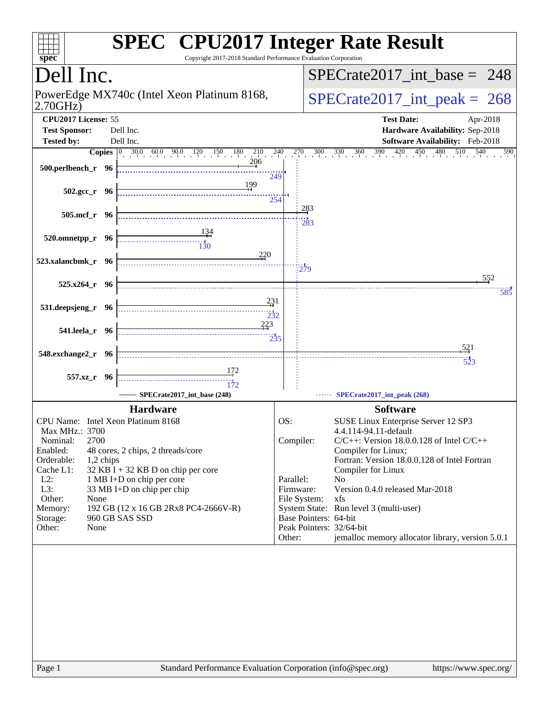| Copyright 2017-2018 Standard Performance Evaluation Corporation<br>spec <sup>®</sup>                                                                               | <b>SPEC<sup>®</sup></b> CPU2017 Integer Rate Result                               |
|--------------------------------------------------------------------------------------------------------------------------------------------------------------------|-----------------------------------------------------------------------------------|
| Dell Inc.                                                                                                                                                          | $SPECrate2017\_int\_base = 248$                                                   |
| PowerEdge MX740c (Intel Xeon Platinum 8168,<br>2.70GHz                                                                                                             | $SPECrate2017\_int\_peak = 268$                                                   |
| CPU2017 License: 55<br><b>Test Sponsor:</b><br>Dell Inc.                                                                                                           | <b>Test Date:</b><br>Apr-2018<br>Hardware Availability: Sep-2018                  |
| Tested by:<br>Dell Inc.                                                                                                                                            | Software Availability: Feb-2018                                                   |
| <b>Copies</b> $\begin{bmatrix} 0 & 30.0 & 60.0 & 90.0 & 120 & 150 & 180 & 210 & 240 & 270 & 300 & 330 & 360 & 390 & 420 & 450 \end{bmatrix}$<br>500.perlbench_r 96 | $480$ $510$ $540$<br>590<br>249                                                   |
| 199<br>502.gcc_r 96                                                                                                                                                | 254                                                                               |
| 505.mcf_r 96                                                                                                                                                       | 283<br>283                                                                        |
| $520.0$ mnetpp_r 96<br>$\begin{array}{c c}\n&\text{}\\ \hline\n&\text{}\\ \hline\n&\text{}\\ \end{array}$                                                          |                                                                                   |
| 220<br>523.xalancbmk_r 96                                                                                                                                          | $\frac{1}{279}$                                                                   |
| $525.x264_r$ 96                                                                                                                                                    | 552<br>585                                                                        |
| 231<br>531.deepsjeng_r 96<br>$\frac{1}{2}32$                                                                                                                       |                                                                                   |
| 223<br>541.leela_r 96                                                                                                                                              | $\frac{11}{235}$                                                                  |
| 548.exchange2_r 96                                                                                                                                                 | 521<br>523                                                                        |
| 557.xz_r 96                                                                                                                                                        |                                                                                   |
| SPECrate2017_int_base (248)                                                                                                                                        | SPECrate2017_int_peak (268)                                                       |
| <b>Hardware</b>                                                                                                                                                    | <b>Software</b>                                                                   |
| CPU Name: Intel Xeon Platinum 8168                                                                                                                                 | OS:<br>SUSE Linux Enterprise Server 12 SP3                                        |
| Max MHz.: 3700<br>2700                                                                                                                                             | 4.4.114-94.11-default                                                             |
| Nominal:<br>Enabled:<br>48 cores, 2 chips, 2 threads/core                                                                                                          | Compiler:<br>$C/C++$ : Version 18.0.0.128 of Intel $C/C++$<br>Compiler for Linux; |
| Orderable:<br>1,2 chips                                                                                                                                            | Fortran: Version 18.0.0.128 of Intel Fortran                                      |
| 32 KB I + 32 KB D on chip per core<br>Cache L1:                                                                                                                    | Compiler for Linux                                                                |
| $L2$ :<br>1 MB I+D on chip per core                                                                                                                                | Parallel:<br>N <sub>0</sub>                                                       |
| L3:<br>33 MB I+D on chip per chip                                                                                                                                  | Version 0.4.0 released Mar-2018<br>Firmware:                                      |
| Other:<br>None<br>192 GB (12 x 16 GB 2Rx8 PC4-2666V-R)<br>Memory:                                                                                                  | File System:<br>xfs<br>System State: Run level 3 (multi-user)                     |
| 960 GB SAS SSD<br>Storage:                                                                                                                                         | Base Pointers: 64-bit                                                             |
| Other:<br>None                                                                                                                                                     | Peak Pointers: 32/64-bit                                                          |
|                                                                                                                                                                    | jemalloc memory allocator library, version 5.0.1<br>Other:                        |
|                                                                                                                                                                    |                                                                                   |
| Standard Performance Evaluation Corporation (info@spec.org)<br>Page 1                                                                                              | https://www.spec.org/                                                             |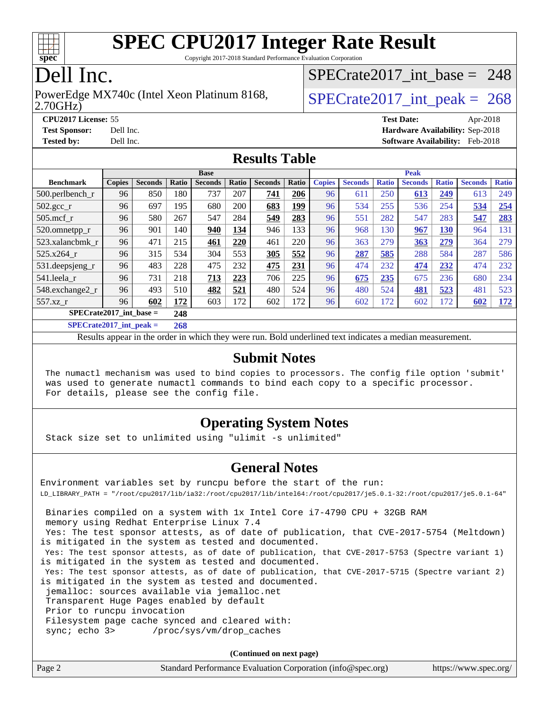

Copyright 2017-2018 Standard Performance Evaluation Corporation

# Dell Inc.

#### 2.70GHz) PowerEdge MX740c (Intel Xeon Platinum 8168,  $\vert$  [SPECrate2017\\_int\\_peak =](http://www.spec.org/auto/cpu2017/Docs/result-fields.html#SPECrate2017intpeak) 268

[SPECrate2017\\_int\\_base =](http://www.spec.org/auto/cpu2017/Docs/result-fields.html#SPECrate2017intbase) 248

**[CPU2017 License:](http://www.spec.org/auto/cpu2017/Docs/result-fields.html#CPU2017License)** 55 **[Test Date:](http://www.spec.org/auto/cpu2017/Docs/result-fields.html#TestDate)** Apr-2018 **[Test Sponsor:](http://www.spec.org/auto/cpu2017/Docs/result-fields.html#TestSponsor)** Dell Inc. **[Hardware Availability:](http://www.spec.org/auto/cpu2017/Docs/result-fields.html#HardwareAvailability)** Sep-2018 **[Tested by:](http://www.spec.org/auto/cpu2017/Docs/result-fields.html#Testedby)** Dell Inc. **[Software Availability:](http://www.spec.org/auto/cpu2017/Docs/result-fields.html#SoftwareAvailability)** Feb-2018

### **[Results Table](http://www.spec.org/auto/cpu2017/Docs/result-fields.html#ResultsTable)**

|                                          | <b>Base</b>   |                |       |                | <b>Peak</b> |                |       |               |                |              |                |              |                |              |
|------------------------------------------|---------------|----------------|-------|----------------|-------------|----------------|-------|---------------|----------------|--------------|----------------|--------------|----------------|--------------|
| <b>Benchmark</b>                         | <b>Copies</b> | <b>Seconds</b> | Ratio | <b>Seconds</b> | Ratio       | <b>Seconds</b> | Ratio | <b>Copies</b> | <b>Seconds</b> | <b>Ratio</b> | <b>Seconds</b> | <b>Ratio</b> | <b>Seconds</b> | <b>Ratio</b> |
| 500.perlbench_r                          | 96            | 850            | 180   | 737            | 207         | 741            | 206   | 96            | 611            | 250          | 613            | 249          | 613            | 249          |
| 502.gcc_r                                | 96            | 697            | 195   | 680            | 200         | 683            | 199   | 96            | 534            | 255          | 536            | 254          | 534            | 254          |
| $505$ .mcf r                             | 96            | 580            | 267   | 547            | 284         | 549            | 283   | 96            | 551            | 282          | 547            | 283          | 547            | 283          |
| 520.omnetpp_r                            | 96            | 901            | 140   | 940            | 134         | 946            | 133   | 96            | 968            | 130          | 967            | 130          | 964            | 131          |
| 523.xalancbmk_r                          | 96            | 471            | 215   | 461            | 220         | 461            | 220   | 96            | 363            | 279          | 363            | 279          | 364            | 279          |
| 525.x264 r                               | 96            | 315            | 534   | 304            | 553         | 305            | 552   | 96            | 287            | 585          | 288            | 584          | 287            | 586          |
| 531.deepsjeng_r                          | 96            | 483            | 228   | 475            | 232         | 475            | 231   | 96            | 474            | 232          | 474            | 232          | 474            | 232          |
| 541.leela r                              | 96            | 731            | 218   | 713            | 223         | 706            | 225   | 96            | 675            | 235          | 675            | 236          | 680            | 234          |
| 548.exchange2_r                          | 96            | 493            | 510   | 482            | 521         | 480            | 524   | 96            | 480            | 524          | 481            | 523          | 481            | 523          |
| 557.xz r                                 | 96            | 602            | 172   | 603            | 172         | 602            | 172   | 96            | 602            | 172          | 602            | 172          | 602            | <u>172</u>   |
| $SPECrate2017$ int base =<br>248         |               |                |       |                |             |                |       |               |                |              |                |              |                |              |
| $CDFC_{\text{sub}} + 2017$ intervals $=$ |               |                | 20    |                |             |                |       |               |                |              |                |              |                |              |

**[SPECrate2017\\_int\\_peak =](http://www.spec.org/auto/cpu2017/Docs/result-fields.html#SPECrate2017intpeak) 268**

Results appear in the [order in which they were run](http://www.spec.org/auto/cpu2017/Docs/result-fields.html#RunOrder). Bold underlined text [indicates a median measurement](http://www.spec.org/auto/cpu2017/Docs/result-fields.html#Median).

#### **[Submit Notes](http://www.spec.org/auto/cpu2017/Docs/result-fields.html#SubmitNotes)**

 The numactl mechanism was used to bind copies to processors. The config file option 'submit' was used to generate numactl commands to bind each copy to a specific processor. For details, please see the config file.

### **[Operating System Notes](http://www.spec.org/auto/cpu2017/Docs/result-fields.html#OperatingSystemNotes)**

Stack size set to unlimited using "ulimit -s unlimited"

### **[General Notes](http://www.spec.org/auto/cpu2017/Docs/result-fields.html#GeneralNotes)**

Environment variables set by runcpu before the start of the run: LD\_LIBRARY\_PATH = "/root/cpu2017/lib/ia32:/root/cpu2017/lib/intel64:/root/cpu2017/je5.0.1-32:/root/cpu2017/je5.0.1-64" Binaries compiled on a system with 1x Intel Core i7-4790 CPU + 32GB RAM memory using Redhat Enterprise Linux 7.4 Yes: The test sponsor attests, as of date of publication, that CVE-2017-5754 (Meltdown) is mitigated in the system as tested and documented. Yes: The test sponsor attests, as of date of publication, that CVE-2017-5753 (Spectre variant 1) is mitigated in the system as tested and documented. Yes: The test sponsor attests, as of date of publication, that CVE-2017-5715 (Spectre variant 2) is mitigated in the system as tested and documented. jemalloc: sources available via jemalloc.net Transparent Huge Pages enabled by default Prior to runcpu invocation Filesystem page cache synced and cleared with: sync; echo 3> /proc/sys/vm/drop\_caches

**(Continued on next page)**

| Page 2<br>Standard Performance Evaluation Corporation (info@spec.org) |  | https://www.spec.org/ |
|-----------------------------------------------------------------------|--|-----------------------|
|-----------------------------------------------------------------------|--|-----------------------|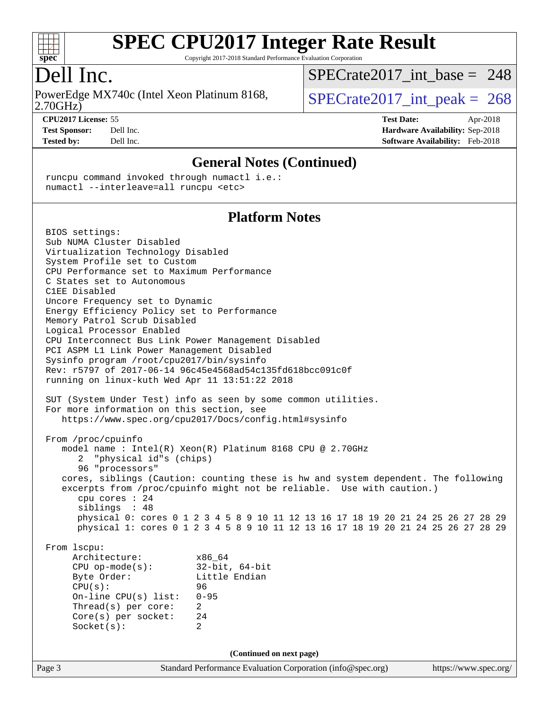

Copyright 2017-2018 Standard Performance Evaluation Corporation

# Dell Inc.

2.70GHz) PowerEdge MX740c (Intel Xeon Platinum 8168,  $\vert$  [SPECrate2017\\_int\\_peak =](http://www.spec.org/auto/cpu2017/Docs/result-fields.html#SPECrate2017intpeak) 268

[SPECrate2017\\_int\\_base =](http://www.spec.org/auto/cpu2017/Docs/result-fields.html#SPECrate2017intbase) 248

**[CPU2017 License:](http://www.spec.org/auto/cpu2017/Docs/result-fields.html#CPU2017License)** 55 **[Test Date:](http://www.spec.org/auto/cpu2017/Docs/result-fields.html#TestDate)** Apr-2018 **[Test Sponsor:](http://www.spec.org/auto/cpu2017/Docs/result-fields.html#TestSponsor)** Dell Inc. **[Hardware Availability:](http://www.spec.org/auto/cpu2017/Docs/result-fields.html#HardwareAvailability)** Sep-2018 **[Tested by:](http://www.spec.org/auto/cpu2017/Docs/result-fields.html#Testedby)** Dell Inc. **[Software Availability:](http://www.spec.org/auto/cpu2017/Docs/result-fields.html#SoftwareAvailability)** Feb-2018

#### **[General Notes \(Continued\)](http://www.spec.org/auto/cpu2017/Docs/result-fields.html#GeneralNotes)**

 runcpu command invoked through numactl i.e.: numactl --interleave=all runcpu <etc>

#### **[Platform Notes](http://www.spec.org/auto/cpu2017/Docs/result-fields.html#PlatformNotes)**

Page 3 Standard Performance Evaluation Corporation [\(info@spec.org\)](mailto:info@spec.org) <https://www.spec.org/> BIOS settings: Sub NUMA Cluster Disabled Virtualization Technology Disabled System Profile set to Custom CPU Performance set to Maximum Performance C States set to Autonomous C1EE Disabled Uncore Frequency set to Dynamic Energy Efficiency Policy set to Performance Memory Patrol Scrub Disabled Logical Processor Enabled CPU Interconnect Bus Link Power Management Disabled PCI ASPM L1 Link Power Management Disabled Sysinfo program /root/cpu2017/bin/sysinfo Rev: r5797 of 2017-06-14 96c45e4568ad54c135fd618bcc091c0f running on linux-kuth Wed Apr 11 13:51:22 2018 SUT (System Under Test) info as seen by some common utilities. For more information on this section, see <https://www.spec.org/cpu2017/Docs/config.html#sysinfo> From /proc/cpuinfo model name : Intel(R) Xeon(R) Platinum 8168 CPU @ 2.70GHz 2 "physical id"s (chips) 96 "processors" cores, siblings (Caution: counting these is hw and system dependent. The following excerpts from /proc/cpuinfo might not be reliable. Use with caution.) cpu cores : 24 siblings : 48 physical 0: cores 0 1 2 3 4 5 8 9 10 11 12 13 16 17 18 19 20 21 24 25 26 27 28 29 physical 1: cores 0 1 2 3 4 5 8 9 10 11 12 13 16 17 18 19 20 21 24 25 26 27 28 29 From lscpu: Architecture: x86\_64 CPU op-mode(s): 32-bit, 64-bit Little Endian CPU(s): 96 On-line CPU(s) list: 0-95 Thread(s) per core: 2 Core(s) per socket: 24 Socket(s): 2 **(Continued on next page)**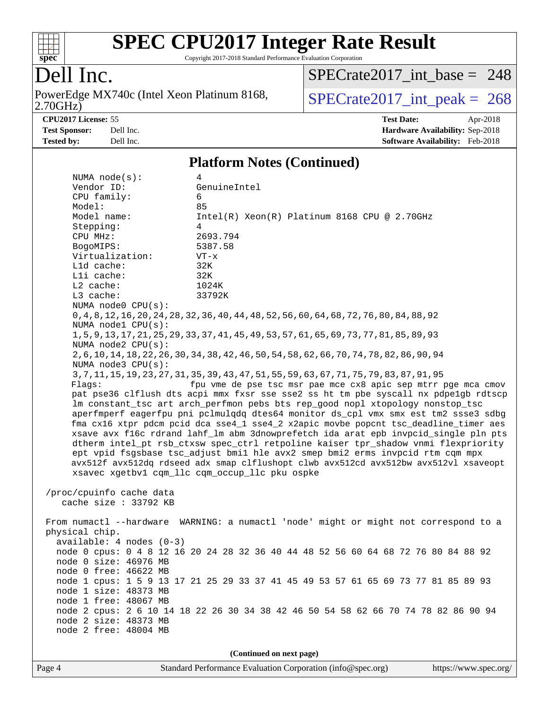

Copyright 2017-2018 Standard Performance Evaluation Corporation

# Dell Inc.

2.70GHz) PowerEdge MX740c (Intel Xeon Platinum 8168,  $\sqrt{SPECrate2017\_int\_peak} = 268$ 

[SPECrate2017\\_int\\_base =](http://www.spec.org/auto/cpu2017/Docs/result-fields.html#SPECrate2017intbase) 248

**[CPU2017 License:](http://www.spec.org/auto/cpu2017/Docs/result-fields.html#CPU2017License)** 55 **[Test Date:](http://www.spec.org/auto/cpu2017/Docs/result-fields.html#TestDate)** Apr-2018 **[Test Sponsor:](http://www.spec.org/auto/cpu2017/Docs/result-fields.html#TestSponsor)** Dell Inc. **[Hardware Availability:](http://www.spec.org/auto/cpu2017/Docs/result-fields.html#HardwareAvailability)** Sep-2018 **[Tested by:](http://www.spec.org/auto/cpu2017/Docs/result-fields.html#Testedby)** Dell Inc. **[Software Availability:](http://www.spec.org/auto/cpu2017/Docs/result-fields.html#SoftwareAvailability)** Feb-2018

#### **[Platform Notes \(Continued\)](http://www.spec.org/auto/cpu2017/Docs/result-fields.html#PlatformNotes)**

| NUMA node(s):              | 4                                                                                            |  |  |  |  |  |  |
|----------------------------|----------------------------------------------------------------------------------------------|--|--|--|--|--|--|
| Vendor ID:                 | GenuineIntel                                                                                 |  |  |  |  |  |  |
| CPU family:                | 6                                                                                            |  |  |  |  |  |  |
| Model:                     | 85                                                                                           |  |  |  |  |  |  |
| Model name:                | $Intel(R) Xeon(R) Platinum 8168 CPU @ 2.70GHz$                                               |  |  |  |  |  |  |
| Stepping:                  | 4                                                                                            |  |  |  |  |  |  |
| CPU MHz:                   | 2693.794                                                                                     |  |  |  |  |  |  |
| BogoMIPS:                  | 5387.58                                                                                      |  |  |  |  |  |  |
| Virtualization:            | $VT - x$                                                                                     |  |  |  |  |  |  |
| Lld cache:                 | 32K                                                                                          |  |  |  |  |  |  |
| Lli cache:                 | 32K                                                                                          |  |  |  |  |  |  |
| L2 cache:                  | 1024K                                                                                        |  |  |  |  |  |  |
| L3 cache:                  | 33792K                                                                                       |  |  |  |  |  |  |
| NUMA node0 CPU(s):         |                                                                                              |  |  |  |  |  |  |
| NUMA nodel CPU(s):         | 0, 4, 8, 12, 16, 20, 24, 28, 32, 36, 40, 44, 48, 52, 56, 60, 64, 68, 72, 76, 80, 84, 88, 92  |  |  |  |  |  |  |
| NUMA node2 CPU(s):         | 1, 5, 9, 13, 17, 21, 25, 29, 33, 37, 41, 45, 49, 53, 57, 61, 65, 69, 73, 77, 81, 85, 89, 93  |  |  |  |  |  |  |
|                            | 2, 6, 10, 14, 18, 22, 26, 30, 34, 38, 42, 46, 50, 54, 58, 62, 66, 70, 74, 78, 82, 86, 90, 94 |  |  |  |  |  |  |
| NUMA node3 CPU(s):         |                                                                                              |  |  |  |  |  |  |
|                            | 3, 7, 11, 15, 19, 23, 27, 31, 35, 39, 43, 47, 51, 55, 59, 63, 67, 71, 75, 79, 83, 87, 91, 95 |  |  |  |  |  |  |
| Flags:                     | fpu vme de pse tsc msr pae mce cx8 apic sep mtrr pge mca cmov                                |  |  |  |  |  |  |
|                            | pat pse36 clflush dts acpi mmx fxsr sse sse2 ss ht tm pbe syscall nx pdpelgb rdtscp          |  |  |  |  |  |  |
|                            | lm constant_tsc art arch_perfmon pebs bts rep_good nopl xtopology nonstop_tsc                |  |  |  |  |  |  |
|                            | aperfmperf eagerfpu pni pclmulqdq dtes64 monitor ds_cpl vmx smx est tm2 ssse3 sdbg           |  |  |  |  |  |  |
|                            | fma cx16 xtpr pdcm pcid dca sse4_1 sse4_2 x2apic movbe popcnt tsc_deadline_timer aes         |  |  |  |  |  |  |
|                            | xsave avx f16c rdrand lahf_lm abm 3dnowprefetch ida arat epb invpcid_single pln pts          |  |  |  |  |  |  |
|                            | dtherm intel_pt rsb_ctxsw spec_ctrl retpoline kaiser tpr_shadow vnmi flexpriority            |  |  |  |  |  |  |
|                            | ept vpid fsgsbase tsc_adjust bmil hle avx2 smep bmi2 erms invpcid rtm cqm mpx                |  |  |  |  |  |  |
|                            | avx512f avx512dq rdseed adx smap clflushopt clwb avx512cd avx512bw avx512vl xsaveopt         |  |  |  |  |  |  |
|                            | xsavec xgetbv1 cqm_llc cqm_occup_llc pku ospke                                               |  |  |  |  |  |  |
| /proc/cpuinfo cache data   |                                                                                              |  |  |  |  |  |  |
| cache size : 33792 KB      |                                                                                              |  |  |  |  |  |  |
|                            |                                                                                              |  |  |  |  |  |  |
|                            | From numactl --hardware WARNING: a numactl 'node' might or might not correspond to a         |  |  |  |  |  |  |
| physical chip.             |                                                                                              |  |  |  |  |  |  |
| $available: 4 nodes (0-3)$ |                                                                                              |  |  |  |  |  |  |
|                            | node 0 cpus: 0 4 8 12 16 20 24 28 32 36 40 44 48 52 56 60 64 68 72 76 80 84 88 92            |  |  |  |  |  |  |
| node 0 size: 46976 MB      |                                                                                              |  |  |  |  |  |  |
| node 0 free: 46622 MB      |                                                                                              |  |  |  |  |  |  |
|                            | node 1 cpus: 1 5 9 13 17 21 25 29 33 37 41 45 49 53 57 61 65 69 73 77 81 85 89 93            |  |  |  |  |  |  |
| node 1 size: 48373 MB      |                                                                                              |  |  |  |  |  |  |
| node 1 free: 48067 MB      |                                                                                              |  |  |  |  |  |  |
|                            | node 2 cpus: 2 6 10 14 18 22 26 30 34 38 42 46 50 54 58 62 66 70 74 78 82 86 90 94           |  |  |  |  |  |  |
| node 2 size: 48373 MB      |                                                                                              |  |  |  |  |  |  |
| node 2 free: 48004 MB      |                                                                                              |  |  |  |  |  |  |
|                            |                                                                                              |  |  |  |  |  |  |
| (Continued on next page)   |                                                                                              |  |  |  |  |  |  |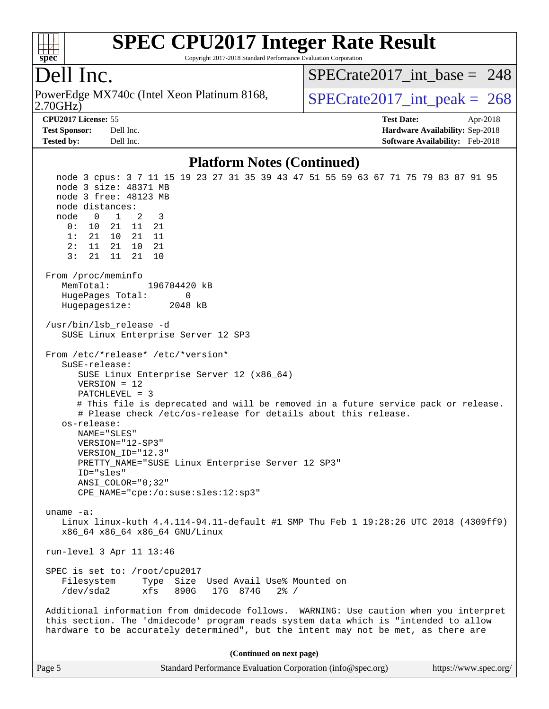

Copyright 2017-2018 Standard Performance Evaluation Corporation

## Dell Inc.

2.70GHz) PowerEdge MX740c (Intel Xeon Platinum 8168,  $\vert$  [SPECrate2017\\_int\\_peak =](http://www.spec.org/auto/cpu2017/Docs/result-fields.html#SPECrate2017intpeak) 268

[SPECrate2017\\_int\\_base =](http://www.spec.org/auto/cpu2017/Docs/result-fields.html#SPECrate2017intbase) 248

**[CPU2017 License:](http://www.spec.org/auto/cpu2017/Docs/result-fields.html#CPU2017License)** 55 **[Test Date:](http://www.spec.org/auto/cpu2017/Docs/result-fields.html#TestDate)** Apr-2018 **[Test Sponsor:](http://www.spec.org/auto/cpu2017/Docs/result-fields.html#TestSponsor)** Dell Inc. **[Hardware Availability:](http://www.spec.org/auto/cpu2017/Docs/result-fields.html#HardwareAvailability)** Sep-2018 **[Tested by:](http://www.spec.org/auto/cpu2017/Docs/result-fields.html#Testedby)** Dell Inc. **[Software Availability:](http://www.spec.org/auto/cpu2017/Docs/result-fields.html#SoftwareAvailability)** Feb-2018

#### **[Platform Notes \(Continued\)](http://www.spec.org/auto/cpu2017/Docs/result-fields.html#PlatformNotes)**

 node 3 cpus: 3 7 11 15 19 23 27 31 35 39 43 47 51 55 59 63 67 71 75 79 83 87 91 95 node 3 size: 48371 MB node 3 free: 48123 MB node distances: node 0 1 2 3 0: 10 21 11 21 1: 21 10 21 11 2: 11 21 10 21 3: 21 11 21 10 From /proc/meminfo MemTotal: 196704420 kB HugePages\_Total: 0 Hugepagesize: 2048 kB /usr/bin/lsb\_release -d SUSE Linux Enterprise Server 12 SP3 From /etc/\*release\* /etc/\*version\* SuSE-release: SUSE Linux Enterprise Server 12 (x86\_64) VERSION = 12 PATCHLEVEL = 3 # This file is deprecated and will be removed in a future service pack or release. # Please check /etc/os-release for details about this release. os-release: NAME="SLES" VERSION="12-SP3" VERSION\_ID="12.3" PRETTY\_NAME="SUSE Linux Enterprise Server 12 SP3" ID="sles" ANSI\_COLOR="0;32" CPE\_NAME="cpe:/o:suse:sles:12:sp3" uname -a: Linux linux-kuth 4.4.114-94.11-default #1 SMP Thu Feb 1 19:28:26 UTC 2018 (4309ff9) x86\_64 x86\_64 x86\_64 GNU/Linux run-level 3 Apr 11 13:46 SPEC is set to: /root/cpu2017 Filesystem Type Size Used Avail Use% Mounted on /dev/sda2 xfs 890G 17G 874G 2% / Additional information from dmidecode follows. WARNING: Use caution when you interpret this section. The 'dmidecode' program reads system data which is "intended to allow hardware to be accurately determined", but the intent may not be met, as there are **(Continued on next page)**

Page 5 Standard Performance Evaluation Corporation [\(info@spec.org\)](mailto:info@spec.org) <https://www.spec.org/>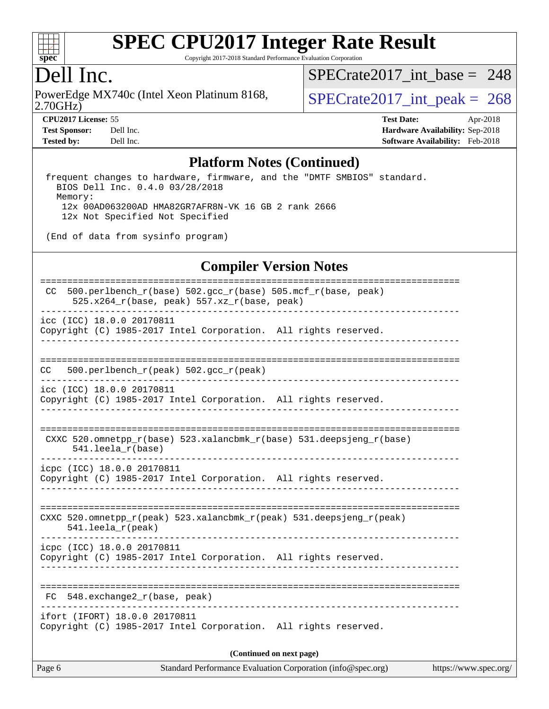

Copyright 2017-2018 Standard Performance Evaluation Corporation

## Dell Inc.

2.70GHz) PowerEdge MX740c (Intel Xeon Platinum 8168,  $\vert$  [SPECrate2017\\_int\\_peak =](http://www.spec.org/auto/cpu2017/Docs/result-fields.html#SPECrate2017intpeak) 268

[SPECrate2017\\_int\\_base =](http://www.spec.org/auto/cpu2017/Docs/result-fields.html#SPECrate2017intbase) 248

**[CPU2017 License:](http://www.spec.org/auto/cpu2017/Docs/result-fields.html#CPU2017License)** 55 **[Test Date:](http://www.spec.org/auto/cpu2017/Docs/result-fields.html#TestDate)** Apr-2018 **[Test Sponsor:](http://www.spec.org/auto/cpu2017/Docs/result-fields.html#TestSponsor)** Dell Inc. **[Hardware Availability:](http://www.spec.org/auto/cpu2017/Docs/result-fields.html#HardwareAvailability)** Sep-2018 **[Tested by:](http://www.spec.org/auto/cpu2017/Docs/result-fields.html#Testedby)** Dell Inc. **[Software Availability:](http://www.spec.org/auto/cpu2017/Docs/result-fields.html#SoftwareAvailability)** Feb-2018

#### **[Platform Notes \(Continued\)](http://www.spec.org/auto/cpu2017/Docs/result-fields.html#PlatformNotes)**

 frequent changes to hardware, firmware, and the "DMTF SMBIOS" standard. BIOS Dell Inc. 0.4.0 03/28/2018 Memory: 12x 00AD063200AD HMA82GR7AFR8N-VK 16 GB 2 rank 2666 12x Not Specified Not Specified

(End of data from sysinfo program)

#### **[Compiler Version Notes](http://www.spec.org/auto/cpu2017/Docs/result-fields.html#CompilerVersionNotes)**

| $500.perlbench_r(base) 502.gcc_r(base) 505.mcf_r(base, peak)$<br>CC.<br>525.x264_r(base, peak) 557.xz_r(base, peak) |  |  |  |  |  |  |  |
|---------------------------------------------------------------------------------------------------------------------|--|--|--|--|--|--|--|
| icc (ICC) 18.0.0 20170811<br>Copyright (C) 1985-2017 Intel Corporation. All rights reserved.                        |  |  |  |  |  |  |  |
| 500.perlbench_r(peak) 502.gcc_r(peak)<br>CC.                                                                        |  |  |  |  |  |  |  |
| icc (ICC) 18.0.0 20170811<br>Copyright (C) 1985-2017 Intel Corporation. All rights reserved.                        |  |  |  |  |  |  |  |
| CXXC 520.omnetpp_r(base) 523.xalancbmk_r(base) 531.deepsjeng_r(base)<br>541.leela_r(base)                           |  |  |  |  |  |  |  |
| icpc (ICC) 18.0.0 20170811<br>Copyright (C) 1985-2017 Intel Corporation. All rights reserved.                       |  |  |  |  |  |  |  |
| CXXC 520.omnetpp_r(peak) 523.xalancbmk_r(peak) 531.deepsjeng_r(peak)<br>$541.$ leela_r(peak)                        |  |  |  |  |  |  |  |
| icpc (ICC) 18.0.0 20170811<br>Copyright (C) 1985-2017 Intel Corporation. All rights reserved.                       |  |  |  |  |  |  |  |
| FC 548.exchange2_r(base, peak)                                                                                      |  |  |  |  |  |  |  |
| ifort (IFORT) 18.0.0 20170811<br>Copyright (C) 1985-2017 Intel Corporation. All rights reserved.                    |  |  |  |  |  |  |  |
| (Continued on next page)                                                                                            |  |  |  |  |  |  |  |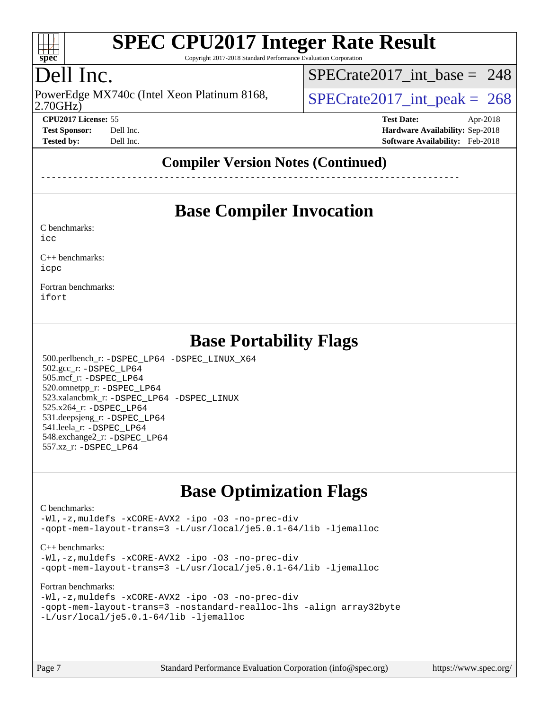

Copyright 2017-2018 Standard Performance Evaluation Corporation

# Dell Inc.

2.70GHz) PowerEdge MX740c (Intel Xeon Platinum 8168,  $\vert$  [SPECrate2017\\_int\\_peak =](http://www.spec.org/auto/cpu2017/Docs/result-fields.html#SPECrate2017intpeak) 268

[SPECrate2017\\_int\\_base =](http://www.spec.org/auto/cpu2017/Docs/result-fields.html#SPECrate2017intbase) 248

**[CPU2017 License:](http://www.spec.org/auto/cpu2017/Docs/result-fields.html#CPU2017License)** 55 **[Test Date:](http://www.spec.org/auto/cpu2017/Docs/result-fields.html#TestDate)** Apr-2018 **[Test Sponsor:](http://www.spec.org/auto/cpu2017/Docs/result-fields.html#TestSponsor)** Dell Inc. **[Hardware Availability:](http://www.spec.org/auto/cpu2017/Docs/result-fields.html#HardwareAvailability)** Sep-2018 **[Tested by:](http://www.spec.org/auto/cpu2017/Docs/result-fields.html#Testedby)** Dell Inc. **[Software Availability:](http://www.spec.org/auto/cpu2017/Docs/result-fields.html#SoftwareAvailability)** Feb-2018

### **[Compiler Version Notes \(Continued\)](http://www.spec.org/auto/cpu2017/Docs/result-fields.html#CompilerVersionNotes)**

------------------------------------------------------------------------------

### **[Base Compiler Invocation](http://www.spec.org/auto/cpu2017/Docs/result-fields.html#BaseCompilerInvocation)**

[C benchmarks](http://www.spec.org/auto/cpu2017/Docs/result-fields.html#Cbenchmarks):

[icc](http://www.spec.org/cpu2017/results/res2018q4/cpu2017-20181001-08994.flags.html#user_CCbase_intel_icc_18.0_66fc1ee009f7361af1fbd72ca7dcefbb700085f36577c54f309893dd4ec40d12360134090235512931783d35fd58c0460139e722d5067c5574d8eaf2b3e37e92)

[C++ benchmarks:](http://www.spec.org/auto/cpu2017/Docs/result-fields.html#CXXbenchmarks) [icpc](http://www.spec.org/cpu2017/results/res2018q4/cpu2017-20181001-08994.flags.html#user_CXXbase_intel_icpc_18.0_c510b6838c7f56d33e37e94d029a35b4a7bccf4766a728ee175e80a419847e808290a9b78be685c44ab727ea267ec2f070ec5dc83b407c0218cded6866a35d07)

[Fortran benchmarks](http://www.spec.org/auto/cpu2017/Docs/result-fields.html#Fortranbenchmarks): [ifort](http://www.spec.org/cpu2017/results/res2018q4/cpu2017-20181001-08994.flags.html#user_FCbase_intel_ifort_18.0_8111460550e3ca792625aed983ce982f94888b8b503583aa7ba2b8303487b4d8a21a13e7191a45c5fd58ff318f48f9492884d4413fa793fd88dd292cad7027ca)

## **[Base Portability Flags](http://www.spec.org/auto/cpu2017/Docs/result-fields.html#BasePortabilityFlags)**

 500.perlbench\_r: [-DSPEC\\_LP64](http://www.spec.org/cpu2017/results/res2018q4/cpu2017-20181001-08994.flags.html#b500.perlbench_r_basePORTABILITY_DSPEC_LP64) [-DSPEC\\_LINUX\\_X64](http://www.spec.org/cpu2017/results/res2018q4/cpu2017-20181001-08994.flags.html#b500.perlbench_r_baseCPORTABILITY_DSPEC_LINUX_X64) 502.gcc\_r: [-DSPEC\\_LP64](http://www.spec.org/cpu2017/results/res2018q4/cpu2017-20181001-08994.flags.html#suite_basePORTABILITY502_gcc_r_DSPEC_LP64) 505.mcf\_r: [-DSPEC\\_LP64](http://www.spec.org/cpu2017/results/res2018q4/cpu2017-20181001-08994.flags.html#suite_basePORTABILITY505_mcf_r_DSPEC_LP64) 520.omnetpp\_r: [-DSPEC\\_LP64](http://www.spec.org/cpu2017/results/res2018q4/cpu2017-20181001-08994.flags.html#suite_basePORTABILITY520_omnetpp_r_DSPEC_LP64) 523.xalancbmk\_r: [-DSPEC\\_LP64](http://www.spec.org/cpu2017/results/res2018q4/cpu2017-20181001-08994.flags.html#suite_basePORTABILITY523_xalancbmk_r_DSPEC_LP64) [-DSPEC\\_LINUX](http://www.spec.org/cpu2017/results/res2018q4/cpu2017-20181001-08994.flags.html#b523.xalancbmk_r_baseCXXPORTABILITY_DSPEC_LINUX) 525.x264\_r: [-DSPEC\\_LP64](http://www.spec.org/cpu2017/results/res2018q4/cpu2017-20181001-08994.flags.html#suite_basePORTABILITY525_x264_r_DSPEC_LP64) 531.deepsjeng\_r: [-DSPEC\\_LP64](http://www.spec.org/cpu2017/results/res2018q4/cpu2017-20181001-08994.flags.html#suite_basePORTABILITY531_deepsjeng_r_DSPEC_LP64) 541.leela\_r: [-DSPEC\\_LP64](http://www.spec.org/cpu2017/results/res2018q4/cpu2017-20181001-08994.flags.html#suite_basePORTABILITY541_leela_r_DSPEC_LP64) 548.exchange2\_r: [-DSPEC\\_LP64](http://www.spec.org/cpu2017/results/res2018q4/cpu2017-20181001-08994.flags.html#suite_basePORTABILITY548_exchange2_r_DSPEC_LP64) 557.xz\_r: [-DSPEC\\_LP64](http://www.spec.org/cpu2017/results/res2018q4/cpu2017-20181001-08994.flags.html#suite_basePORTABILITY557_xz_r_DSPEC_LP64)

## **[Base Optimization Flags](http://www.spec.org/auto/cpu2017/Docs/result-fields.html#BaseOptimizationFlags)**

#### [C benchmarks](http://www.spec.org/auto/cpu2017/Docs/result-fields.html#Cbenchmarks):

[-Wl,-z,muldefs](http://www.spec.org/cpu2017/results/res2018q4/cpu2017-20181001-08994.flags.html#user_CCbase_link_force_multiple1_b4cbdb97b34bdee9ceefcfe54f4c8ea74255f0b02a4b23e853cdb0e18eb4525ac79b5a88067c842dd0ee6996c24547a27a4b99331201badda8798ef8a743f577) [-xCORE-AVX2](http://www.spec.org/cpu2017/results/res2018q4/cpu2017-20181001-08994.flags.html#user_CCbase_f-xCORE-AVX2) [-ipo](http://www.spec.org/cpu2017/results/res2018q4/cpu2017-20181001-08994.flags.html#user_CCbase_f-ipo) [-O3](http://www.spec.org/cpu2017/results/res2018q4/cpu2017-20181001-08994.flags.html#user_CCbase_f-O3) [-no-prec-div](http://www.spec.org/cpu2017/results/res2018q4/cpu2017-20181001-08994.flags.html#user_CCbase_f-no-prec-div) [-qopt-mem-layout-trans=3](http://www.spec.org/cpu2017/results/res2018q4/cpu2017-20181001-08994.flags.html#user_CCbase_f-qopt-mem-layout-trans_de80db37974c74b1f0e20d883f0b675c88c3b01e9d123adea9b28688d64333345fb62bc4a798493513fdb68f60282f9a726aa07f478b2f7113531aecce732043) [-L/usr/local/je5.0.1-64/lib](http://www.spec.org/cpu2017/results/res2018q4/cpu2017-20181001-08994.flags.html#user_CCbase_jemalloc_link_path64_4b10a636b7bce113509b17f3bd0d6226c5fb2346b9178c2d0232c14f04ab830f976640479e5c33dc2bcbbdad86ecfb6634cbbd4418746f06f368b512fced5394) [-ljemalloc](http://www.spec.org/cpu2017/results/res2018q4/cpu2017-20181001-08994.flags.html#user_CCbase_jemalloc_link_lib_d1249b907c500fa1c0672f44f562e3d0f79738ae9e3c4a9c376d49f265a04b9c99b167ecedbf6711b3085be911c67ff61f150a17b3472be731631ba4d0471706)

#### [C++ benchmarks:](http://www.spec.org/auto/cpu2017/Docs/result-fields.html#CXXbenchmarks)

[-Wl,-z,muldefs](http://www.spec.org/cpu2017/results/res2018q4/cpu2017-20181001-08994.flags.html#user_CXXbase_link_force_multiple1_b4cbdb97b34bdee9ceefcfe54f4c8ea74255f0b02a4b23e853cdb0e18eb4525ac79b5a88067c842dd0ee6996c24547a27a4b99331201badda8798ef8a743f577) [-xCORE-AVX2](http://www.spec.org/cpu2017/results/res2018q4/cpu2017-20181001-08994.flags.html#user_CXXbase_f-xCORE-AVX2) [-ipo](http://www.spec.org/cpu2017/results/res2018q4/cpu2017-20181001-08994.flags.html#user_CXXbase_f-ipo) [-O3](http://www.spec.org/cpu2017/results/res2018q4/cpu2017-20181001-08994.flags.html#user_CXXbase_f-O3) [-no-prec-div](http://www.spec.org/cpu2017/results/res2018q4/cpu2017-20181001-08994.flags.html#user_CXXbase_f-no-prec-div) [-qopt-mem-layout-trans=3](http://www.spec.org/cpu2017/results/res2018q4/cpu2017-20181001-08994.flags.html#user_CXXbase_f-qopt-mem-layout-trans_de80db37974c74b1f0e20d883f0b675c88c3b01e9d123adea9b28688d64333345fb62bc4a798493513fdb68f60282f9a726aa07f478b2f7113531aecce732043) [-L/usr/local/je5.0.1-64/lib](http://www.spec.org/cpu2017/results/res2018q4/cpu2017-20181001-08994.flags.html#user_CXXbase_jemalloc_link_path64_4b10a636b7bce113509b17f3bd0d6226c5fb2346b9178c2d0232c14f04ab830f976640479e5c33dc2bcbbdad86ecfb6634cbbd4418746f06f368b512fced5394) [-ljemalloc](http://www.spec.org/cpu2017/results/res2018q4/cpu2017-20181001-08994.flags.html#user_CXXbase_jemalloc_link_lib_d1249b907c500fa1c0672f44f562e3d0f79738ae9e3c4a9c376d49f265a04b9c99b167ecedbf6711b3085be911c67ff61f150a17b3472be731631ba4d0471706)

#### [Fortran benchmarks](http://www.spec.org/auto/cpu2017/Docs/result-fields.html#Fortranbenchmarks):

```
-Wl,-z,muldefs -xCORE-AVX2 -ipo -O3 -no-prec-div
-qopt-mem-layout-trans=3 -nostandard-realloc-lhs -align array32byte
-L/usr/local/je5.0.1-64/lib -ljemalloc
```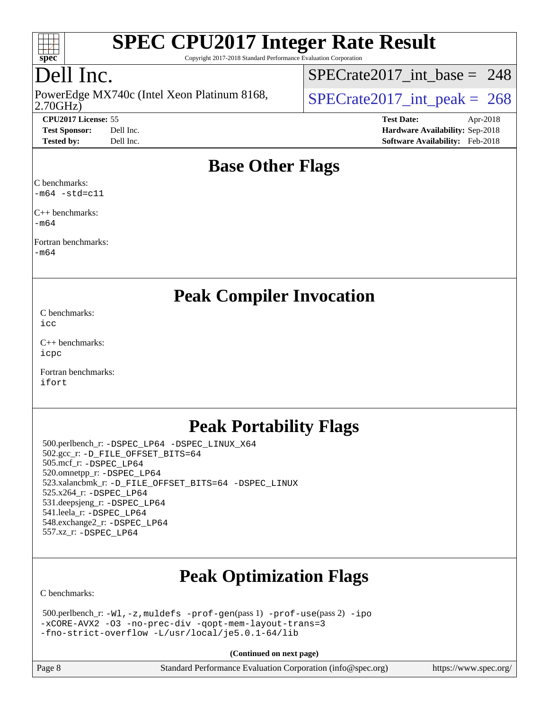

Copyright 2017-2018 Standard Performance Evaluation Corporation

# Dell Inc.

2.70GHz) PowerEdge MX740c (Intel Xeon Platinum 8168,  $\vert$  [SPECrate2017\\_int\\_peak =](http://www.spec.org/auto/cpu2017/Docs/result-fields.html#SPECrate2017intpeak) 268

[SPECrate2017\\_int\\_base =](http://www.spec.org/auto/cpu2017/Docs/result-fields.html#SPECrate2017intbase) 248

**[CPU2017 License:](http://www.spec.org/auto/cpu2017/Docs/result-fields.html#CPU2017License)** 55 **[Test Date:](http://www.spec.org/auto/cpu2017/Docs/result-fields.html#TestDate)** Apr-2018 **[Test Sponsor:](http://www.spec.org/auto/cpu2017/Docs/result-fields.html#TestSponsor)** Dell Inc. **[Hardware Availability:](http://www.spec.org/auto/cpu2017/Docs/result-fields.html#HardwareAvailability)** Sep-2018 **[Tested by:](http://www.spec.org/auto/cpu2017/Docs/result-fields.html#Testedby)** Dell Inc. **[Software Availability:](http://www.spec.org/auto/cpu2017/Docs/result-fields.html#SoftwareAvailability)** Feb-2018

### **[Base Other Flags](http://www.spec.org/auto/cpu2017/Docs/result-fields.html#BaseOtherFlags)**

[C benchmarks:](http://www.spec.org/auto/cpu2017/Docs/result-fields.html#Cbenchmarks) [-m64](http://www.spec.org/cpu2017/results/res2018q4/cpu2017-20181001-08994.flags.html#user_CCbase_intel_intel64_18.0_af43caccfc8ded86e7699f2159af6efc7655f51387b94da716254467f3c01020a5059329e2569e4053f409e7c9202a7efc638f7a6d1ffb3f52dea4a3e31d82ab) [-std=c11](http://www.spec.org/cpu2017/results/res2018q4/cpu2017-20181001-08994.flags.html#user_CCbase_intel_compiler_c11_mode_0e1c27790398a4642dfca32ffe6c27b5796f9c2d2676156f2e42c9c44eaad0c049b1cdb667a270c34d979996257aeb8fc440bfb01818dbc9357bd9d174cb8524)

[C++ benchmarks:](http://www.spec.org/auto/cpu2017/Docs/result-fields.html#CXXbenchmarks) [-m64](http://www.spec.org/cpu2017/results/res2018q4/cpu2017-20181001-08994.flags.html#user_CXXbase_intel_intel64_18.0_af43caccfc8ded86e7699f2159af6efc7655f51387b94da716254467f3c01020a5059329e2569e4053f409e7c9202a7efc638f7a6d1ffb3f52dea4a3e31d82ab)

[Fortran benchmarks](http://www.spec.org/auto/cpu2017/Docs/result-fields.html#Fortranbenchmarks):

[-m64](http://www.spec.org/cpu2017/results/res2018q4/cpu2017-20181001-08994.flags.html#user_FCbase_intel_intel64_18.0_af43caccfc8ded86e7699f2159af6efc7655f51387b94da716254467f3c01020a5059329e2569e4053f409e7c9202a7efc638f7a6d1ffb3f52dea4a3e31d82ab)

### **[Peak Compiler Invocation](http://www.spec.org/auto/cpu2017/Docs/result-fields.html#PeakCompilerInvocation)**

[C benchmarks](http://www.spec.org/auto/cpu2017/Docs/result-fields.html#Cbenchmarks): [icc](http://www.spec.org/cpu2017/results/res2018q4/cpu2017-20181001-08994.flags.html#user_CCpeak_intel_icc_18.0_66fc1ee009f7361af1fbd72ca7dcefbb700085f36577c54f309893dd4ec40d12360134090235512931783d35fd58c0460139e722d5067c5574d8eaf2b3e37e92)

[C++ benchmarks:](http://www.spec.org/auto/cpu2017/Docs/result-fields.html#CXXbenchmarks) [icpc](http://www.spec.org/cpu2017/results/res2018q4/cpu2017-20181001-08994.flags.html#user_CXXpeak_intel_icpc_18.0_c510b6838c7f56d33e37e94d029a35b4a7bccf4766a728ee175e80a419847e808290a9b78be685c44ab727ea267ec2f070ec5dc83b407c0218cded6866a35d07)

[Fortran benchmarks](http://www.spec.org/auto/cpu2017/Docs/result-fields.html#Fortranbenchmarks): [ifort](http://www.spec.org/cpu2017/results/res2018q4/cpu2017-20181001-08994.flags.html#user_FCpeak_intel_ifort_18.0_8111460550e3ca792625aed983ce982f94888b8b503583aa7ba2b8303487b4d8a21a13e7191a45c5fd58ff318f48f9492884d4413fa793fd88dd292cad7027ca)

# **[Peak Portability Flags](http://www.spec.org/auto/cpu2017/Docs/result-fields.html#PeakPortabilityFlags)**

 500.perlbench\_r: [-DSPEC\\_LP64](http://www.spec.org/cpu2017/results/res2018q4/cpu2017-20181001-08994.flags.html#b500.perlbench_r_peakPORTABILITY_DSPEC_LP64) [-DSPEC\\_LINUX\\_X64](http://www.spec.org/cpu2017/results/res2018q4/cpu2017-20181001-08994.flags.html#b500.perlbench_r_peakCPORTABILITY_DSPEC_LINUX_X64) 502.gcc\_r: [-D\\_FILE\\_OFFSET\\_BITS=64](http://www.spec.org/cpu2017/results/res2018q4/cpu2017-20181001-08994.flags.html#user_peakPORTABILITY502_gcc_r_file_offset_bits_64_5ae949a99b284ddf4e95728d47cb0843d81b2eb0e18bdfe74bbf0f61d0b064f4bda2f10ea5eb90e1dcab0e84dbc592acfc5018bc955c18609f94ddb8d550002c) 505.mcf\_r: [-DSPEC\\_LP64](http://www.spec.org/cpu2017/results/res2018q4/cpu2017-20181001-08994.flags.html#suite_peakPORTABILITY505_mcf_r_DSPEC_LP64) 520.omnetpp\_r: [-DSPEC\\_LP64](http://www.spec.org/cpu2017/results/res2018q4/cpu2017-20181001-08994.flags.html#suite_peakPORTABILITY520_omnetpp_r_DSPEC_LP64) 523.xalancbmk\_r: [-D\\_FILE\\_OFFSET\\_BITS=64](http://www.spec.org/cpu2017/results/res2018q4/cpu2017-20181001-08994.flags.html#user_peakPORTABILITY523_xalancbmk_r_file_offset_bits_64_5ae949a99b284ddf4e95728d47cb0843d81b2eb0e18bdfe74bbf0f61d0b064f4bda2f10ea5eb90e1dcab0e84dbc592acfc5018bc955c18609f94ddb8d550002c) [-DSPEC\\_LINUX](http://www.spec.org/cpu2017/results/res2018q4/cpu2017-20181001-08994.flags.html#b523.xalancbmk_r_peakCXXPORTABILITY_DSPEC_LINUX) 525.x264\_r: [-DSPEC\\_LP64](http://www.spec.org/cpu2017/results/res2018q4/cpu2017-20181001-08994.flags.html#suite_peakPORTABILITY525_x264_r_DSPEC_LP64) 531.deepsjeng\_r: [-DSPEC\\_LP64](http://www.spec.org/cpu2017/results/res2018q4/cpu2017-20181001-08994.flags.html#suite_peakPORTABILITY531_deepsjeng_r_DSPEC_LP64) 541.leela\_r: [-DSPEC\\_LP64](http://www.spec.org/cpu2017/results/res2018q4/cpu2017-20181001-08994.flags.html#suite_peakPORTABILITY541_leela_r_DSPEC_LP64) 548.exchange2\_r: [-DSPEC\\_LP64](http://www.spec.org/cpu2017/results/res2018q4/cpu2017-20181001-08994.flags.html#suite_peakPORTABILITY548_exchange2_r_DSPEC_LP64) 557.xz\_r: [-DSPEC\\_LP64](http://www.spec.org/cpu2017/results/res2018q4/cpu2017-20181001-08994.flags.html#suite_peakPORTABILITY557_xz_r_DSPEC_LP64)

# **[Peak Optimization Flags](http://www.spec.org/auto/cpu2017/Docs/result-fields.html#PeakOptimizationFlags)**

[C benchmarks](http://www.spec.org/auto/cpu2017/Docs/result-fields.html#Cbenchmarks):

| $500.$ perlbench_r: -Wl, -z, muldefs -prof-gen(pass 1) -prof-use(pass 2) -ipo |  |
|-------------------------------------------------------------------------------|--|
| -xCORE-AVX2 -03 -no-prec-div -qopt-mem-layout-trans=3                         |  |
| -fno-strict-overflow -L/usr/local/je5.0.1-64/lib                              |  |

**(Continued on next page)**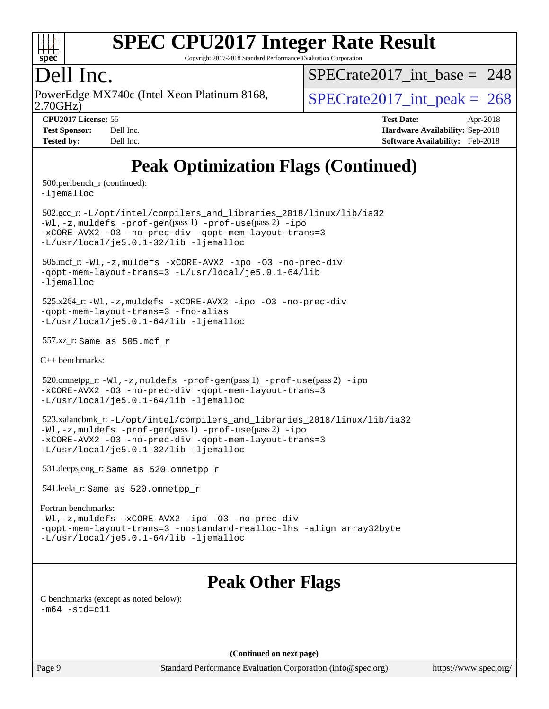

Copyright 2017-2018 Standard Performance Evaluation Corporation

# Dell Inc.

2.70GHz) PowerEdge MX740c (Intel Xeon Platinum 8168,  $\vert$  [SPECrate2017\\_int\\_peak =](http://www.spec.org/auto/cpu2017/Docs/result-fields.html#SPECrate2017intpeak) 268

 $SPECrate2017\_int\_base = 248$ 

**[CPU2017 License:](http://www.spec.org/auto/cpu2017/Docs/result-fields.html#CPU2017License)** 55 **[Test Date:](http://www.spec.org/auto/cpu2017/Docs/result-fields.html#TestDate)** Apr-2018 **[Test Sponsor:](http://www.spec.org/auto/cpu2017/Docs/result-fields.html#TestSponsor)** Dell Inc. **[Hardware Availability:](http://www.spec.org/auto/cpu2017/Docs/result-fields.html#HardwareAvailability)** Sep-2018 **[Tested by:](http://www.spec.org/auto/cpu2017/Docs/result-fields.html#Testedby)** Dell Inc. **[Software Availability:](http://www.spec.org/auto/cpu2017/Docs/result-fields.html#SoftwareAvailability)** Feb-2018

# **[Peak Optimization Flags \(Continued\)](http://www.spec.org/auto/cpu2017/Docs/result-fields.html#PeakOptimizationFlags)**

500.perlbench\_r (continued):

[-ljemalloc](http://www.spec.org/cpu2017/results/res2018q4/cpu2017-20181001-08994.flags.html#user_peakEXTRA_LIBS500_perlbench_r_jemalloc_link_lib_d1249b907c500fa1c0672f44f562e3d0f79738ae9e3c4a9c376d49f265a04b9c99b167ecedbf6711b3085be911c67ff61f150a17b3472be731631ba4d0471706)

 502.gcc\_r: [-L/opt/intel/compilers\\_and\\_libraries\\_2018/linux/lib/ia32](http://www.spec.org/cpu2017/results/res2018q4/cpu2017-20181001-08994.flags.html#user_peakCCLD502_gcc_r_Enable-32bit-runtime_af243bdb1d79e4c7a4f720bf8275e627de2ecd461de63307bc14cef0633fde3cd7bb2facb32dcc8be9566045fb55d40ce2b72b725f73827aa7833441b71b9343) [-Wl,-z,muldefs](http://www.spec.org/cpu2017/results/res2018q4/cpu2017-20181001-08994.flags.html#user_peakEXTRA_LDFLAGS502_gcc_r_link_force_multiple1_b4cbdb97b34bdee9ceefcfe54f4c8ea74255f0b02a4b23e853cdb0e18eb4525ac79b5a88067c842dd0ee6996c24547a27a4b99331201badda8798ef8a743f577) [-prof-gen](http://www.spec.org/cpu2017/results/res2018q4/cpu2017-20181001-08994.flags.html#user_peakPASS1_CFLAGSPASS1_LDFLAGS502_gcc_r_prof_gen_5aa4926d6013ddb2a31985c654b3eb18169fc0c6952a63635c234f711e6e63dd76e94ad52365559451ec499a2cdb89e4dc58ba4c67ef54ca681ffbe1461d6b36)(pass 1) [-prof-use](http://www.spec.org/cpu2017/results/res2018q4/cpu2017-20181001-08994.flags.html#user_peakPASS2_CFLAGSPASS2_LDFLAGS502_gcc_r_prof_use_1a21ceae95f36a2b53c25747139a6c16ca95bd9def2a207b4f0849963b97e94f5260e30a0c64f4bb623698870e679ca08317ef8150905d41bd88c6f78df73f19)(pass 2) [-ipo](http://www.spec.org/cpu2017/results/res2018q4/cpu2017-20181001-08994.flags.html#user_peakPASS1_COPTIMIZEPASS2_COPTIMIZE502_gcc_r_f-ipo) [-xCORE-AVX2](http://www.spec.org/cpu2017/results/res2018q4/cpu2017-20181001-08994.flags.html#user_peakPASS2_COPTIMIZE502_gcc_r_f-xCORE-AVX2) [-O3](http://www.spec.org/cpu2017/results/res2018q4/cpu2017-20181001-08994.flags.html#user_peakPASS1_COPTIMIZEPASS2_COPTIMIZE502_gcc_r_f-O3) [-no-prec-div](http://www.spec.org/cpu2017/results/res2018q4/cpu2017-20181001-08994.flags.html#user_peakPASS1_COPTIMIZEPASS2_COPTIMIZE502_gcc_r_f-no-prec-div) [-qopt-mem-layout-trans=3](http://www.spec.org/cpu2017/results/res2018q4/cpu2017-20181001-08994.flags.html#user_peakPASS1_COPTIMIZEPASS2_COPTIMIZE502_gcc_r_f-qopt-mem-layout-trans_de80db37974c74b1f0e20d883f0b675c88c3b01e9d123adea9b28688d64333345fb62bc4a798493513fdb68f60282f9a726aa07f478b2f7113531aecce732043) [-L/usr/local/je5.0.1-32/lib](http://www.spec.org/cpu2017/results/res2018q4/cpu2017-20181001-08994.flags.html#user_peakEXTRA_LIBS502_gcc_r_jemalloc_link_path32_e29f22e8e6c17053bbc6a0971f5a9c01a601a06bb1a59df2084b77a2fe0a2995b64fd4256feaeea39eeba3aae142e96e2b2b0a28974019c0c0c88139a84f900a) [-ljemalloc](http://www.spec.org/cpu2017/results/res2018q4/cpu2017-20181001-08994.flags.html#user_peakEXTRA_LIBS502_gcc_r_jemalloc_link_lib_d1249b907c500fa1c0672f44f562e3d0f79738ae9e3c4a9c376d49f265a04b9c99b167ecedbf6711b3085be911c67ff61f150a17b3472be731631ba4d0471706)

 505.mcf\_r: [-Wl,-z,muldefs](http://www.spec.org/cpu2017/results/res2018q4/cpu2017-20181001-08994.flags.html#user_peakEXTRA_LDFLAGS505_mcf_r_link_force_multiple1_b4cbdb97b34bdee9ceefcfe54f4c8ea74255f0b02a4b23e853cdb0e18eb4525ac79b5a88067c842dd0ee6996c24547a27a4b99331201badda8798ef8a743f577) [-xCORE-AVX2](http://www.spec.org/cpu2017/results/res2018q4/cpu2017-20181001-08994.flags.html#user_peakCOPTIMIZE505_mcf_r_f-xCORE-AVX2) [-ipo](http://www.spec.org/cpu2017/results/res2018q4/cpu2017-20181001-08994.flags.html#user_peakCOPTIMIZE505_mcf_r_f-ipo) [-O3](http://www.spec.org/cpu2017/results/res2018q4/cpu2017-20181001-08994.flags.html#user_peakCOPTIMIZE505_mcf_r_f-O3) [-no-prec-div](http://www.spec.org/cpu2017/results/res2018q4/cpu2017-20181001-08994.flags.html#user_peakCOPTIMIZE505_mcf_r_f-no-prec-div) [-qopt-mem-layout-trans=3](http://www.spec.org/cpu2017/results/res2018q4/cpu2017-20181001-08994.flags.html#user_peakCOPTIMIZE505_mcf_r_f-qopt-mem-layout-trans_de80db37974c74b1f0e20d883f0b675c88c3b01e9d123adea9b28688d64333345fb62bc4a798493513fdb68f60282f9a726aa07f478b2f7113531aecce732043) [-L/usr/local/je5.0.1-64/lib](http://www.spec.org/cpu2017/results/res2018q4/cpu2017-20181001-08994.flags.html#user_peakEXTRA_LIBS505_mcf_r_jemalloc_link_path64_4b10a636b7bce113509b17f3bd0d6226c5fb2346b9178c2d0232c14f04ab830f976640479e5c33dc2bcbbdad86ecfb6634cbbd4418746f06f368b512fced5394) [-ljemalloc](http://www.spec.org/cpu2017/results/res2018q4/cpu2017-20181001-08994.flags.html#user_peakEXTRA_LIBS505_mcf_r_jemalloc_link_lib_d1249b907c500fa1c0672f44f562e3d0f79738ae9e3c4a9c376d49f265a04b9c99b167ecedbf6711b3085be911c67ff61f150a17b3472be731631ba4d0471706)

 525.x264\_r: [-Wl,-z,muldefs](http://www.spec.org/cpu2017/results/res2018q4/cpu2017-20181001-08994.flags.html#user_peakEXTRA_LDFLAGS525_x264_r_link_force_multiple1_b4cbdb97b34bdee9ceefcfe54f4c8ea74255f0b02a4b23e853cdb0e18eb4525ac79b5a88067c842dd0ee6996c24547a27a4b99331201badda8798ef8a743f577) [-xCORE-AVX2](http://www.spec.org/cpu2017/results/res2018q4/cpu2017-20181001-08994.flags.html#user_peakCOPTIMIZE525_x264_r_f-xCORE-AVX2) [-ipo](http://www.spec.org/cpu2017/results/res2018q4/cpu2017-20181001-08994.flags.html#user_peakCOPTIMIZE525_x264_r_f-ipo) [-O3](http://www.spec.org/cpu2017/results/res2018q4/cpu2017-20181001-08994.flags.html#user_peakCOPTIMIZE525_x264_r_f-O3) [-no-prec-div](http://www.spec.org/cpu2017/results/res2018q4/cpu2017-20181001-08994.flags.html#user_peakCOPTIMIZE525_x264_r_f-no-prec-div) [-qopt-mem-layout-trans=3](http://www.spec.org/cpu2017/results/res2018q4/cpu2017-20181001-08994.flags.html#user_peakCOPTIMIZE525_x264_r_f-qopt-mem-layout-trans_de80db37974c74b1f0e20d883f0b675c88c3b01e9d123adea9b28688d64333345fb62bc4a798493513fdb68f60282f9a726aa07f478b2f7113531aecce732043) [-fno-alias](http://www.spec.org/cpu2017/results/res2018q4/cpu2017-20181001-08994.flags.html#user_peakEXTRA_OPTIMIZE525_x264_r_f-no-alias_77dbac10d91cbfe898fbf4a29d1b29b694089caa623bdd1baccc9957d4edbe8d106c0b357e2748a65b44fc9e83d78098bb898077f3fe92f9faf24f7bd4a07ed7) [-L/usr/local/je5.0.1-64/lib](http://www.spec.org/cpu2017/results/res2018q4/cpu2017-20181001-08994.flags.html#user_peakEXTRA_LIBS525_x264_r_jemalloc_link_path64_4b10a636b7bce113509b17f3bd0d6226c5fb2346b9178c2d0232c14f04ab830f976640479e5c33dc2bcbbdad86ecfb6634cbbd4418746f06f368b512fced5394) [-ljemalloc](http://www.spec.org/cpu2017/results/res2018q4/cpu2017-20181001-08994.flags.html#user_peakEXTRA_LIBS525_x264_r_jemalloc_link_lib_d1249b907c500fa1c0672f44f562e3d0f79738ae9e3c4a9c376d49f265a04b9c99b167ecedbf6711b3085be911c67ff61f150a17b3472be731631ba4d0471706)

557.xz\_r: Same as 505.mcf\_r

[C++ benchmarks:](http://www.spec.org/auto/cpu2017/Docs/result-fields.html#CXXbenchmarks)

520.omnetpp\_r: $-Wl$ ,-z,muldefs -prof-qen(pass 1) [-prof-use](http://www.spec.org/cpu2017/results/res2018q4/cpu2017-20181001-08994.flags.html#user_peakPASS2_CXXFLAGSPASS2_LDFLAGS520_omnetpp_r_prof_use_1a21ceae95f36a2b53c25747139a6c16ca95bd9def2a207b4f0849963b97e94f5260e30a0c64f4bb623698870e679ca08317ef8150905d41bd88c6f78df73f19)(pass 2) [-ipo](http://www.spec.org/cpu2017/results/res2018q4/cpu2017-20181001-08994.flags.html#user_peakPASS1_CXXOPTIMIZEPASS2_CXXOPTIMIZE520_omnetpp_r_f-ipo) [-xCORE-AVX2](http://www.spec.org/cpu2017/results/res2018q4/cpu2017-20181001-08994.flags.html#user_peakPASS2_CXXOPTIMIZE520_omnetpp_r_f-xCORE-AVX2) [-O3](http://www.spec.org/cpu2017/results/res2018q4/cpu2017-20181001-08994.flags.html#user_peakPASS1_CXXOPTIMIZEPASS2_CXXOPTIMIZE520_omnetpp_r_f-O3) [-no-prec-div](http://www.spec.org/cpu2017/results/res2018q4/cpu2017-20181001-08994.flags.html#user_peakPASS1_CXXOPTIMIZEPASS2_CXXOPTIMIZE520_omnetpp_r_f-no-prec-div) [-qopt-mem-layout-trans=3](http://www.spec.org/cpu2017/results/res2018q4/cpu2017-20181001-08994.flags.html#user_peakPASS1_CXXOPTIMIZEPASS2_CXXOPTIMIZE520_omnetpp_r_f-qopt-mem-layout-trans_de80db37974c74b1f0e20d883f0b675c88c3b01e9d123adea9b28688d64333345fb62bc4a798493513fdb68f60282f9a726aa07f478b2f7113531aecce732043) [-L/usr/local/je5.0.1-64/lib](http://www.spec.org/cpu2017/results/res2018q4/cpu2017-20181001-08994.flags.html#user_peakEXTRA_LIBS520_omnetpp_r_jemalloc_link_path64_4b10a636b7bce113509b17f3bd0d6226c5fb2346b9178c2d0232c14f04ab830f976640479e5c33dc2bcbbdad86ecfb6634cbbd4418746f06f368b512fced5394) [-ljemalloc](http://www.spec.org/cpu2017/results/res2018q4/cpu2017-20181001-08994.flags.html#user_peakEXTRA_LIBS520_omnetpp_r_jemalloc_link_lib_d1249b907c500fa1c0672f44f562e3d0f79738ae9e3c4a9c376d49f265a04b9c99b167ecedbf6711b3085be911c67ff61f150a17b3472be731631ba4d0471706)

 523.xalancbmk\_r: [-L/opt/intel/compilers\\_and\\_libraries\\_2018/linux/lib/ia32](http://www.spec.org/cpu2017/results/res2018q4/cpu2017-20181001-08994.flags.html#user_peakCXXLD523_xalancbmk_r_Enable-32bit-runtime_af243bdb1d79e4c7a4f720bf8275e627de2ecd461de63307bc14cef0633fde3cd7bb2facb32dcc8be9566045fb55d40ce2b72b725f73827aa7833441b71b9343) [-Wl,-z,muldefs](http://www.spec.org/cpu2017/results/res2018q4/cpu2017-20181001-08994.flags.html#user_peakEXTRA_LDFLAGS523_xalancbmk_r_link_force_multiple1_b4cbdb97b34bdee9ceefcfe54f4c8ea74255f0b02a4b23e853cdb0e18eb4525ac79b5a88067c842dd0ee6996c24547a27a4b99331201badda8798ef8a743f577) [-prof-gen](http://www.spec.org/cpu2017/results/res2018q4/cpu2017-20181001-08994.flags.html#user_peakPASS1_CXXFLAGSPASS1_LDFLAGS523_xalancbmk_r_prof_gen_5aa4926d6013ddb2a31985c654b3eb18169fc0c6952a63635c234f711e6e63dd76e94ad52365559451ec499a2cdb89e4dc58ba4c67ef54ca681ffbe1461d6b36)(pass 1) [-prof-use](http://www.spec.org/cpu2017/results/res2018q4/cpu2017-20181001-08994.flags.html#user_peakPASS2_CXXFLAGSPASS2_LDFLAGS523_xalancbmk_r_prof_use_1a21ceae95f36a2b53c25747139a6c16ca95bd9def2a207b4f0849963b97e94f5260e30a0c64f4bb623698870e679ca08317ef8150905d41bd88c6f78df73f19)(pass 2) [-ipo](http://www.spec.org/cpu2017/results/res2018q4/cpu2017-20181001-08994.flags.html#user_peakPASS1_CXXOPTIMIZEPASS2_CXXOPTIMIZE523_xalancbmk_r_f-ipo) [-xCORE-AVX2](http://www.spec.org/cpu2017/results/res2018q4/cpu2017-20181001-08994.flags.html#user_peakPASS2_CXXOPTIMIZE523_xalancbmk_r_f-xCORE-AVX2) [-O3](http://www.spec.org/cpu2017/results/res2018q4/cpu2017-20181001-08994.flags.html#user_peakPASS1_CXXOPTIMIZEPASS2_CXXOPTIMIZE523_xalancbmk_r_f-O3) [-no-prec-div](http://www.spec.org/cpu2017/results/res2018q4/cpu2017-20181001-08994.flags.html#user_peakPASS1_CXXOPTIMIZEPASS2_CXXOPTIMIZE523_xalancbmk_r_f-no-prec-div) [-qopt-mem-layout-trans=3](http://www.spec.org/cpu2017/results/res2018q4/cpu2017-20181001-08994.flags.html#user_peakPASS1_CXXOPTIMIZEPASS2_CXXOPTIMIZE523_xalancbmk_r_f-qopt-mem-layout-trans_de80db37974c74b1f0e20d883f0b675c88c3b01e9d123adea9b28688d64333345fb62bc4a798493513fdb68f60282f9a726aa07f478b2f7113531aecce732043) [-L/usr/local/je5.0.1-32/lib](http://www.spec.org/cpu2017/results/res2018q4/cpu2017-20181001-08994.flags.html#user_peakEXTRA_LIBS523_xalancbmk_r_jemalloc_link_path32_e29f22e8e6c17053bbc6a0971f5a9c01a601a06bb1a59df2084b77a2fe0a2995b64fd4256feaeea39eeba3aae142e96e2b2b0a28974019c0c0c88139a84f900a) [-ljemalloc](http://www.spec.org/cpu2017/results/res2018q4/cpu2017-20181001-08994.flags.html#user_peakEXTRA_LIBS523_xalancbmk_r_jemalloc_link_lib_d1249b907c500fa1c0672f44f562e3d0f79738ae9e3c4a9c376d49f265a04b9c99b167ecedbf6711b3085be911c67ff61f150a17b3472be731631ba4d0471706)

531.deepsjeng\_r: Same as 520.omnetpp\_r

541.leela\_r: Same as 520.omnetpp\_r

#### [Fortran benchmarks](http://www.spec.org/auto/cpu2017/Docs/result-fields.html#Fortranbenchmarks):

[-Wl,-z,muldefs](http://www.spec.org/cpu2017/results/res2018q4/cpu2017-20181001-08994.flags.html#user_FCpeak_link_force_multiple1_b4cbdb97b34bdee9ceefcfe54f4c8ea74255f0b02a4b23e853cdb0e18eb4525ac79b5a88067c842dd0ee6996c24547a27a4b99331201badda8798ef8a743f577) [-xCORE-AVX2](http://www.spec.org/cpu2017/results/res2018q4/cpu2017-20181001-08994.flags.html#user_FCpeak_f-xCORE-AVX2) [-ipo](http://www.spec.org/cpu2017/results/res2018q4/cpu2017-20181001-08994.flags.html#user_FCpeak_f-ipo) [-O3](http://www.spec.org/cpu2017/results/res2018q4/cpu2017-20181001-08994.flags.html#user_FCpeak_f-O3) [-no-prec-div](http://www.spec.org/cpu2017/results/res2018q4/cpu2017-20181001-08994.flags.html#user_FCpeak_f-no-prec-div) [-qopt-mem-layout-trans=3](http://www.spec.org/cpu2017/results/res2018q4/cpu2017-20181001-08994.flags.html#user_FCpeak_f-qopt-mem-layout-trans_de80db37974c74b1f0e20d883f0b675c88c3b01e9d123adea9b28688d64333345fb62bc4a798493513fdb68f60282f9a726aa07f478b2f7113531aecce732043) [-nostandard-realloc-lhs](http://www.spec.org/cpu2017/results/res2018q4/cpu2017-20181001-08994.flags.html#user_FCpeak_f_2003_std_realloc_82b4557e90729c0f113870c07e44d33d6f5a304b4f63d4c15d2d0f1fab99f5daaed73bdb9275d9ae411527f28b936061aa8b9c8f2d63842963b95c9dd6426b8a) [-align array32byte](http://www.spec.org/cpu2017/results/res2018q4/cpu2017-20181001-08994.flags.html#user_FCpeak_align_array32byte_b982fe038af199962ba9a80c053b8342c548c85b40b8e86eb3cc33dee0d7986a4af373ac2d51c3f7cf710a18d62fdce2948f201cd044323541f22fc0fffc51b6) [-L/usr/local/je5.0.1-64/lib](http://www.spec.org/cpu2017/results/res2018q4/cpu2017-20181001-08994.flags.html#user_FCpeak_jemalloc_link_path64_4b10a636b7bce113509b17f3bd0d6226c5fb2346b9178c2d0232c14f04ab830f976640479e5c33dc2bcbbdad86ecfb6634cbbd4418746f06f368b512fced5394) [-ljemalloc](http://www.spec.org/cpu2017/results/res2018q4/cpu2017-20181001-08994.flags.html#user_FCpeak_jemalloc_link_lib_d1249b907c500fa1c0672f44f562e3d0f79738ae9e3c4a9c376d49f265a04b9c99b167ecedbf6711b3085be911c67ff61f150a17b3472be731631ba4d0471706)

## **[Peak Other Flags](http://www.spec.org/auto/cpu2017/Docs/result-fields.html#PeakOtherFlags)**

[C benchmarks \(except as noted below\)](http://www.spec.org/auto/cpu2017/Docs/result-fields.html#Cbenchmarksexceptasnotedbelow):  $-m64 - std= c11$  $-m64 - std= c11$ 

**(Continued on next page)**

Page 9 Standard Performance Evaluation Corporation [\(info@spec.org\)](mailto:info@spec.org) <https://www.spec.org/>